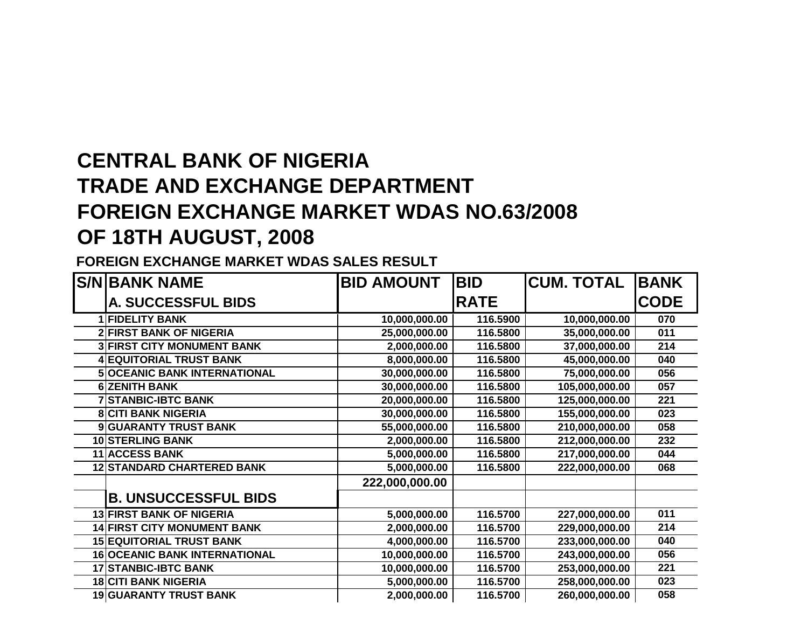## **CENTRAL BANK OF NIGERIA TRADE AND EXCHANGE DEPARTMENT FOREIGN EXCHANGE MARKET WDAS NO.63/2008OF 18TH AUGUST, 2008**

**FOREIGN EXCHANGE MARKET WDAS SALES RESULT**

| <b>S/NIBANK NAME</b>                 | <b>BID AMOUNT</b> | <b>BID</b>  | <b>CUM. TOTAL</b> | <b>BANK</b> |
|--------------------------------------|-------------------|-------------|-------------------|-------------|
| <b>A. SUCCESSFUL BIDS</b>            |                   | <b>RATE</b> |                   | <b>CODE</b> |
| 1 FIDELITY BANK                      | 10,000,000.00     | 116.5900    | 10,000,000.00     | 070         |
| <b>2 FIRST BANK OF NIGERIA</b>       | 25,000,000.00     | 116.5800    | 35,000,000.00     | 011         |
| <b>3 FIRST CITY MONUMENT BANK</b>    | 2,000,000.00      | 116.5800    | 37,000,000.00     | 214         |
| <b>4 EQUITORIAL TRUST BANK</b>       | 8,000,000.00      | 116.5800    | 45,000,000.00     | 040         |
| <b>5 OCEANIC BANK INTERNATIONAL</b>  | 30,000,000.00     | 116.5800    | 75,000,000.00     | 056         |
| <b>6 ZENITH BANK</b>                 | 30,000,000.00     | 116.5800    | 105,000,000.00    | 057         |
| <b>7 STANBIC-IBTC BANK</b>           | 20,000,000.00     | 116.5800    | 125,000,000.00    | 221         |
| <b>8 CITI BANK NIGERIA</b>           | 30,000,000.00     | 116.5800    | 155,000,000.00    | 023         |
| 9 GUARANTY TRUST BANK                | 55,000,000.00     | 116.5800    | 210,000,000.00    | 058         |
| <b>10 STERLING BANK</b>              | 2,000,000.00      | 116.5800    | 212,000,000.00    | 232         |
| <b>11 ACCESS BANK</b>                | 5,000,000.00      | 116.5800    | 217,000,000.00    | 044         |
| <b>12 STANDARD CHARTERED BANK</b>    | 5,000,000.00      | 116.5800    | 222,000,000.00    | 068         |
|                                      | 222,000,000.00    |             |                   |             |
| <b>B. UNSUCCESSFUL BIDS</b>          |                   |             |                   |             |
| <b>13 FIRST BANK OF NIGERIA</b>      | 5,000,000.00      | 116.5700    | 227,000,000.00    | 011         |
| <b>14 FIRST CITY MONUMENT BANK</b>   | 2,000,000.00      | 116.5700    | 229,000,000.00    | 214         |
| <b>15 EQUITORIAL TRUST BANK</b>      | 4,000,000.00      | 116.5700    | 233,000,000.00    | 040         |
| <b>16 OCEANIC BANK INTERNATIONAL</b> | 10,000,000.00     | 116.5700    | 243,000,000.00    | 056         |
| <b>17 STANBIC-IBTC BANK</b>          | 10,000,000.00     | 116.5700    | 253,000,000.00    | 221         |
| <b>18 CITI BANK NIGERIA</b>          | 5,000,000.00      | 116.5700    | 258,000,000.00    | 023         |
| <b>19 GUARANTY TRUST BANK</b>        | 2,000,000.00      | 116.5700    | 260,000,000.00    | 058         |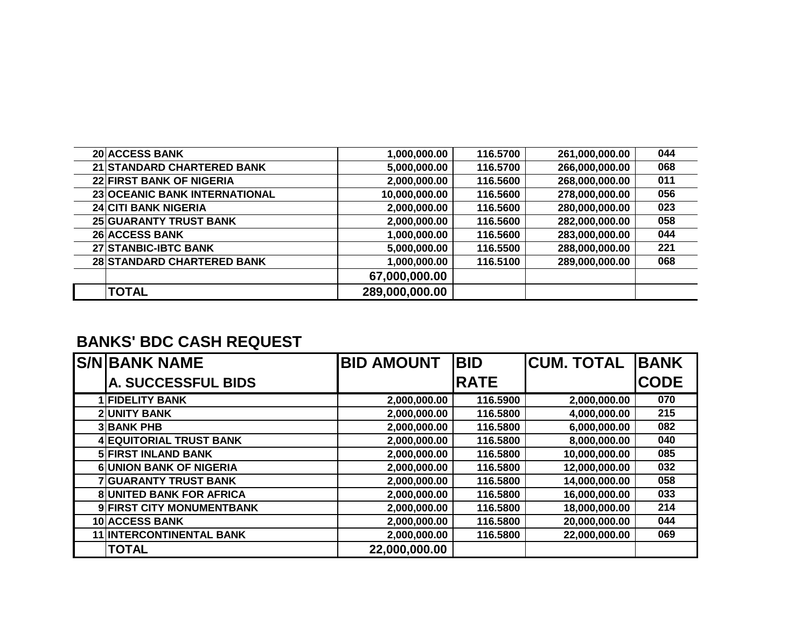| 20 ACCESS BANK                  | 1,000,000.00   | 116.5700 | 261,000,000.00 | 044 |
|---------------------------------|----------------|----------|----------------|-----|
| 21 STANDARD CHARTERED BANK      | 5,000,000.00   | 116.5700 | 266,000,000.00 | 068 |
| <b>22 FIRST BANK OF NIGERIA</b> | 2,000,000.00   | 116.5600 | 268,000,000.00 | 011 |
| 23 OCEANIC BANK INTERNATIONAL   | 10,000,000.00  | 116.5600 | 278,000,000.00 | 056 |
| <b>24 CITI BANK NIGERIA</b>     | 2,000,000.00   | 116.5600 | 280,000,000.00 | 023 |
| <b>25 GUARANTY TRUST BANK</b>   | 2,000,000.00   | 116.5600 | 282,000,000.00 | 058 |
| <b>26 ACCESS BANK</b>           | 1,000,000.00   | 116.5600 | 283,000,000.00 | 044 |
| 27 STANBIC-IBTC BANK            | 5,000,000.00   | 116.5500 | 288,000,000.00 | 221 |
| 28 STANDARD CHARTERED BANK      | 1,000,000.00   | 116.5100 | 289,000,000.00 | 068 |
|                                 | 67,000,000.00  |          |                |     |
| <b>TOTAL</b>                    | 289,000,000.00 |          |                |     |

## **BANKS' BDC CASH REQUEST**

| <b>S/N BANK NAME</b>            | <b>BID AMOUNT</b> | <b>BID</b>  | <b>CUM. TOTAL</b> | <b>BANK</b> |
|---------------------------------|-------------------|-------------|-------------------|-------------|
| A. SUCCESSFUL BIDS              |                   | <b>RATE</b> |                   | <b>CODE</b> |
| <b>IFIDELITY BANK</b>           | 2,000,000.00      | 116.5900    | 2,000,000.00      | 070         |
| <b>2 UNITY BANK</b>             | 2,000,000.00      | 116.5800    | 4,000,000.00      | 215         |
| <b>3 BANK PHB</b>               | 2,000,000.00      | 116.5800    | 6,000,000.00      | 082         |
| <b>4 EQUITORIAL TRUST BANK</b>  | 2,000,000.00      | 116.5800    | 8,000,000.00      | 040         |
| <b>5 FIRST INLAND BANK</b>      | 2,000,000.00      | 116.5800    | 10,000,000.00     | 085         |
| <b>6 UNION BANK OF NIGERIA</b>  | 2,000,000.00      | 116.5800    | 12,000,000.00     | 032         |
| 7 GUARANTY TRUST BANK           | 2,000,000.00      | 116.5800    | 14,000,000.00     | 058         |
| <b>8 UNITED BANK FOR AFRICA</b> | 2,000,000.00      | 116.5800    | 16,000,000.00     | 033         |
| 9 FIRST CITY MONUMENTBANK       | 2,000,000.00      | 116.5800    | 18,000,000.00     | 214         |
| <b>10 ACCESS BANK</b>           | 2,000,000.00      | 116.5800    | 20,000,000.00     | 044         |
| <b>11 INTERCONTINENTAL BANK</b> | 2,000,000.00      | 116.5800    | 22,000,000.00     | 069         |
| <b>TOTAL</b>                    | 22,000,000.00     |             |                   |             |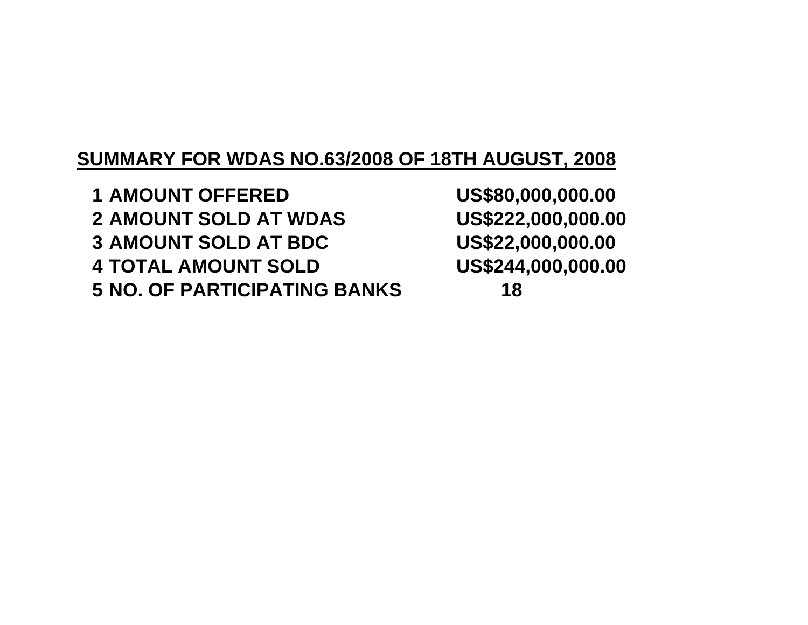## **SUMMARY FOR WDAS NO.63/2008 OF 18TH AUGUST, 2008**

**<sup>1</sup> AMOUNT OFFERED US\$80,000,000.002 AMOUNT SOLD AT WDAS 3** AMOUNT SOLD AT BDC **4 TOTAL AMOUNT SOLD 5 NO. OF PARTICIPATING BANKS 18**

US\$222,000,000.00 US\$22,000,000.00 US\$244,000,000.00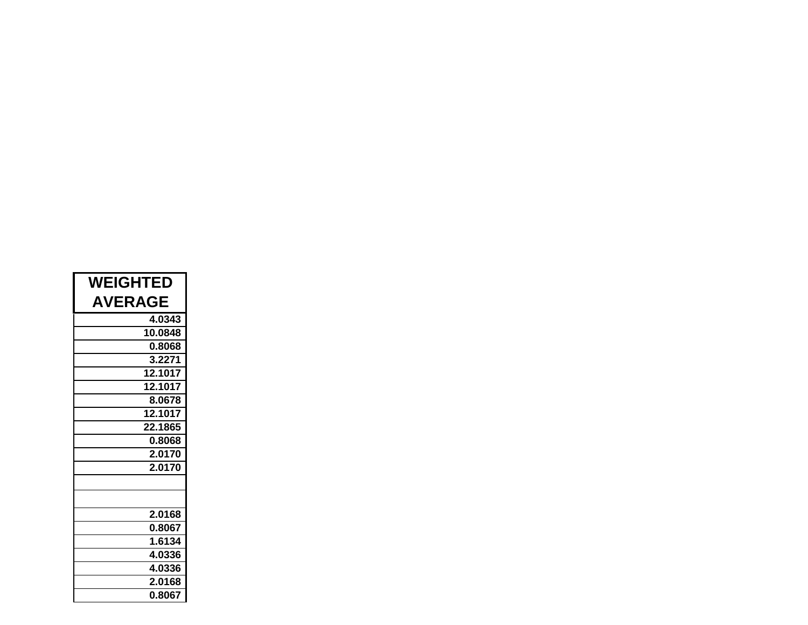| <b>WEIGHTED</b> |  |  |  |
|-----------------|--|--|--|
| <b>AVERAGE</b>  |  |  |  |
| 4.0343          |  |  |  |
| 10.0848         |  |  |  |
| 0.8068          |  |  |  |
| 3.2271          |  |  |  |
| 12.1017         |  |  |  |
| 12.1017         |  |  |  |
| 8.0678          |  |  |  |
| 12.1017         |  |  |  |
| 22.1865         |  |  |  |
| 0.8068          |  |  |  |
| 2.0170          |  |  |  |
| 2.0170          |  |  |  |
|                 |  |  |  |
|                 |  |  |  |
| 2.0168          |  |  |  |
| 0.8067          |  |  |  |
| 1.6134          |  |  |  |
| 4.0336          |  |  |  |
| 4.0336          |  |  |  |
| 2.0168          |  |  |  |
| 0.8067          |  |  |  |